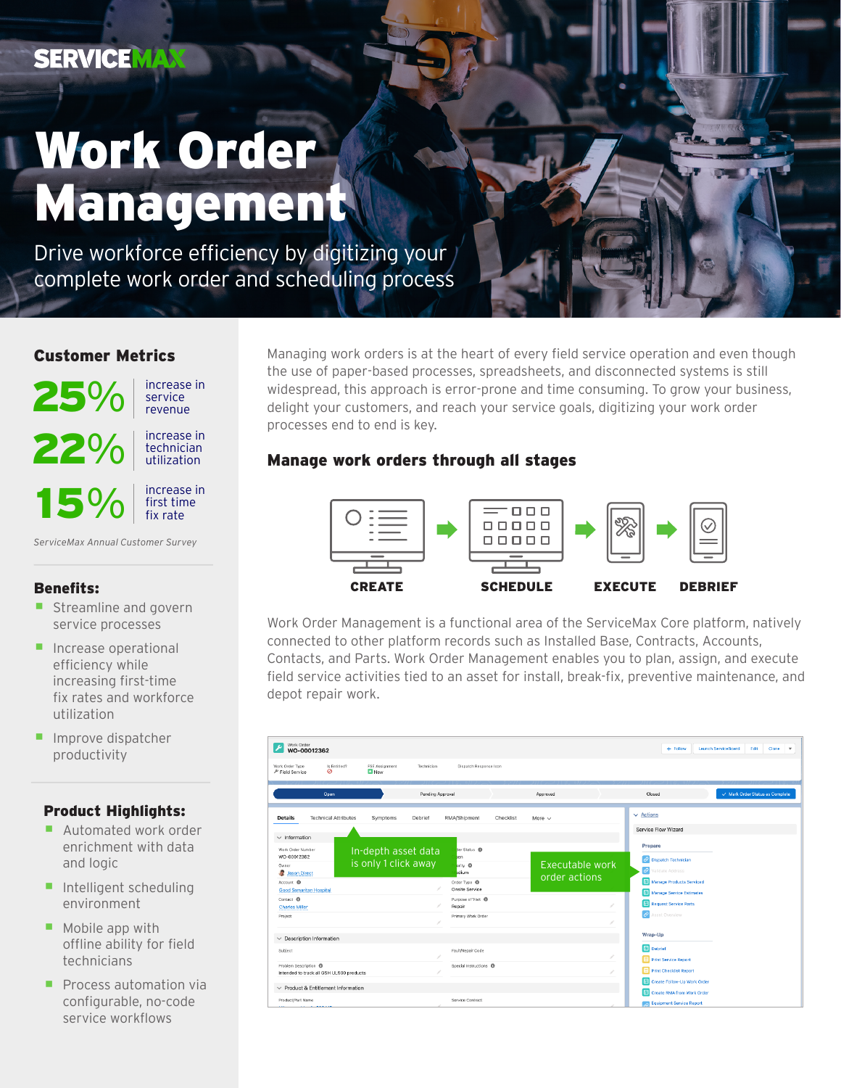# Work Order Management

Drive workforce efficiency by digitizing your complete work order and scheduling process

## Customer Metrics



- increasing first-time fix rates and workforce utilization
- Improve dispatcher productivity

### Product Highlights:

- Automated work order enrichment with data and logic
- Intelligent scheduling environment
- $\blacksquare$  Mobile app with offline ability for field technicians
- **Process automation via** configurable, no-code service workflows

Managing work orders is at the heart of every field service operation and even though the use of paper-based processes, spreadsheets, and disconnected systems is still widespread, this approach is error-prone and time consuming. To grow your business, delight your customers, and reach your service goals, digitizing your work order processes end to end is key.

## Manage work orders through all stages



Work Order Management is a functional area of the ServiceMax Core platform, natively connected to other platform records such as Installed Base, Contracts, Accounts, Contacts, and Parts. Work Order Management enables you to plan, assign, and execute field service activities tied to an asset for install, break-fix, preventive maintenance, and depot repair work.

| Work Order<br>$+$ Follow<br><b>Launch ServiceBoard</b><br>Edit<br>Clone<br>$\overline{\phantom{a}}$<br>WO-00012362                                                              |                             |                                             |                  |                                                                                                                                                                  |           |                                  |   |                                                                                                                                                                                    |                                 |
|---------------------------------------------------------------------------------------------------------------------------------------------------------------------------------|-----------------------------|---------------------------------------------|------------------|------------------------------------------------------------------------------------------------------------------------------------------------------------------|-----------|----------------------------------|---|------------------------------------------------------------------------------------------------------------------------------------------------------------------------------------|---------------------------------|
| Work Order Type<br>Field Service                                                                                                                                                | Is Entitled?<br>0           | FSE Assignment<br><b>D</b> New              | Technician       | Dispatch Response Icon                                                                                                                                           |           |                                  |   |                                                                                                                                                                                    |                                 |
|                                                                                                                                                                                 | Open                        |                                             | Pending Approval |                                                                                                                                                                  |           | Approved                         |   | Closed                                                                                                                                                                             | V Mark Order Status as Complete |
| <b>Details</b>                                                                                                                                                                  | <b>Technical Attributes</b> | Symptoms                                    | Debrief          | RMA/Shipment                                                                                                                                                     | Checklist | More $\vee$                      |   | $\vee$ Actions                                                                                                                                                                     |                                 |
| $\vee$ Information                                                                                                                                                              |                             |                                             |                  |                                                                                                                                                                  |           |                                  |   | Service Flow Wizard                                                                                                                                                                |                                 |
| Work Order Number<br>WO-00012362<br>Owner<br>Jason Direct<br>Account <sup>O</sup><br><b>Good Samaritan Hospital</b><br>Contact <sup>O</sup><br><b>Charles Miller</b><br>Project |                             | In-depth asset data<br>is only 1 click away |                  | ser Status <sup>O</sup><br>ben<br>ority O<br>odium<br>Order Type <sup>O</sup><br>Onsite Service<br>Purpose of Visit <sup>®</sup><br>Repair<br>Primary Work Order |           | Executable work<br>order actions |   | Prepare<br>C Dispatch Technician<br>P Validate Address<br>Manage Products Serviced<br><b>R</b> Manage Service Estimates<br><b>Request Service Parts</b><br><b>2</b> Asset Overview |                                 |
| $\vee$ Description Information                                                                                                                                                  |                             |                                             |                  |                                                                                                                                                                  |           |                                  |   | Wrap-Up                                                                                                                                                                            |                                 |
| Subject                                                                                                                                                                         |                             |                                             |                  | Fault/Repair Code                                                                                                                                                |           |                                  |   | <b>n</b> Debrief<br>Print Service Report                                                                                                                                           |                                 |
| Problem Description <sup>(D)</sup><br>Intended to track all GSH UL500 products                                                                                                  |                             |                                             |                  | Special Instructions <sup>6</sup>                                                                                                                                |           |                                  | i | в<br><b>Print Checklist Report</b>                                                                                                                                                 |                                 |
| $\vee$ Product & Entitlement Information                                                                                                                                        |                             |                                             |                  |                                                                                                                                                                  |           |                                  |   | <b>TH</b> Create Follow-Up Work Order                                                                                                                                              |                                 |
| Product/Part Name                                                                                                                                                               |                             |                                             |                  | Service Contract                                                                                                                                                 |           |                                  |   | <b>TE</b> Create RMA from Work Order<br><b>Equipment Service Report</b>                                                                                                            |                                 |